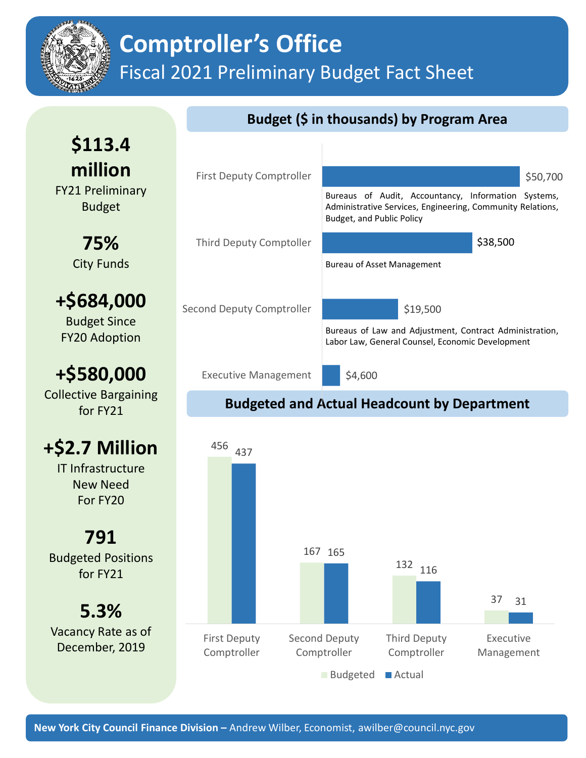

# **Comptroller's Office** Fiscal 2021 Preliminary Budget Fact Sheet

### **Budget (\$ in thousands) by Program Area**

**\$113.4 million** FY21 Preliminary Budget

> **75%** City Funds

**+\$684,000** Budget Since

FY20 Adoption

## **+\$580,000**

Collective Bargaining for FY21

## **+\$2.7 Million**

IT Infrastructure New Need For FY20

**791** Budgeted Positions for FY21

**5.3%** Vacancy Rate as of December, 2019



### **Budgeted and Actual Headcount by Department**